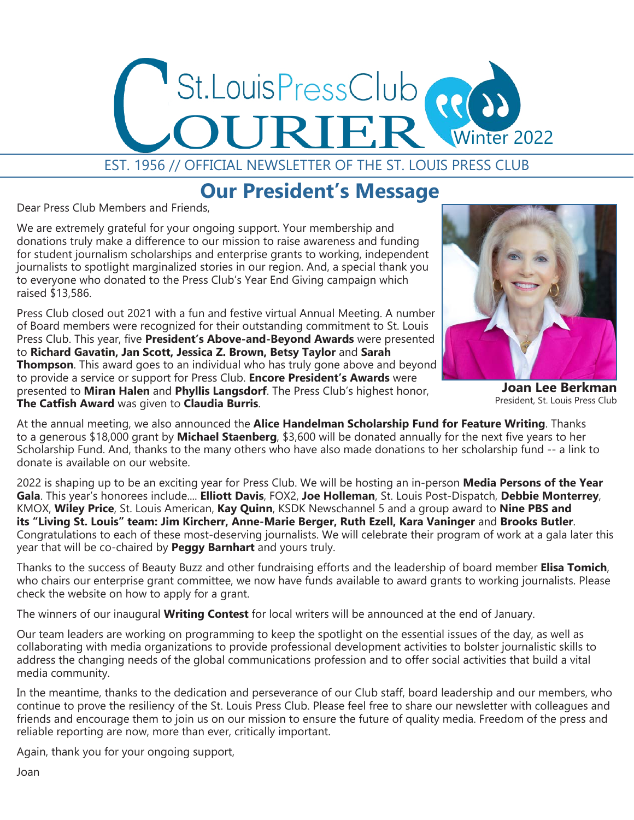

#### EST. 1956 // OFFICIAL NEWSLETTER OF THE ST. LOUIS PRESS CLUB

# **Our President's Message**

Dear Press Club Members and Friends,

We are extremely grateful for your ongoing support. Your membership and donations truly make a difference to our mission to raise awareness and funding for student journalism scholarships and enterprise grants to working, independent journalists to spotlight marginalized stories in our region. And, a special thank you to everyone who donated to the Press Club's Year End Giving campaign which raised \$13,586.

Press Club closed out 2021 with a fun and festive virtual Annual Meeting. A number of Board members were recognized for their outstanding commitment to St. Louis Press Club. This year, five **President's Above-and-Beyond Awards** were presented to **Richard Gavatin, Jan Scott, Jessica Z. Brown, Betsy Taylor** and **Sarah Thompson**. This award goes to an individual who has truly gone above and beyond to provide a service or support for Press Club. **Encore President's Awards** were presented to **Miran Halen** and **Phyllis Langsdorf**. The Press Club's highest honor, **The Catfish Award** was given to **Claudia Burris**.



**Joan Lee Berkman** President, St. Louis Press Club

At the annual meeting, we also announced the **Alice Handelman Scholarship Fund for Feature Writing**. Thanks to a generous \$18,000 grant by **Michael Staenberg**, \$3,600 will be donated annually for the next five years to her Scholarship Fund. And, thanks to the many others who have also made donations to her scholarship fund -- a link to donate is available on our website.

2022 is shaping up to be an exciting year for Press Club. We will be hosting an in-person **Media Persons of the Year Gala**. This year's honorees include.... **Elliott Davis**, FOX2, **Joe Holleman**, St. Louis Post-Dispatch, **Debbie Monterrey**, KMOX, **Wiley Price**, St. Louis American, **Kay Quinn**, KSDK Newschannel 5 and a group award to **Nine PBS and its "Living St. Louis" team: Jim Kircherr, Anne-Marie Berger, Ruth Ezell, Kara Vaninger** and **Brooks Butler**. Congratulations to each of these most-deserving journalists. We will celebrate their program of work at a gala later this year that will be co-chaired by **Peggy Barnhart** and yours truly.

Thanks to the success of Beauty Buzz and other fundraising efforts and the leadership of board member **Elisa Tomich**, who chairs our enterprise grant committee, we now have funds available to award grants to working journalists. Please check the website on how to apply for a grant.

The winners of our inaugural **Writing Contest** for local writers will be announced at the end of January.

Our team leaders are working on programming to keep the spotlight on the essential issues of the day, as well as collaborating with media organizations to provide professional development activities to bolster journalistic skills to address the changing needs of the global communications profession and to offer social activities that build a vital media community.

In the meantime, thanks to the dedication and perseverance of our Club staff, board leadership and our members, who continue to prove the resiliency of the St. Louis Press Club. Please feel free to share our newsletter with colleagues and friends and encourage them to join us on our mission to ensure the future of quality media. Freedom of the press and reliable reporting are now, more than ever, critically important.

Again, thank you for your ongoing support,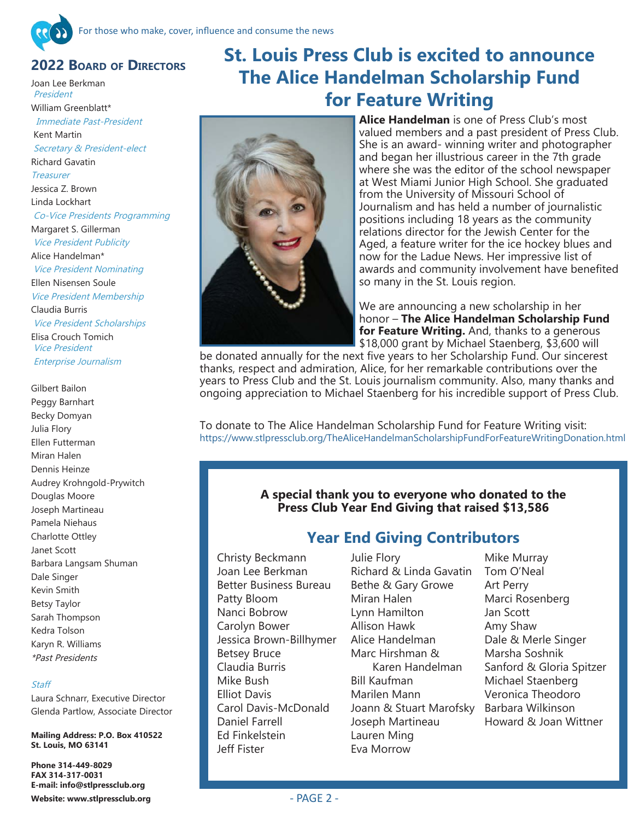#### **2022 Board of Directors**

Joan Lee Berkman President William Greenblatt\* Immediate Past-President Kent Martin Secretary & President-elect Richard Gavatin **Treasurer** Jessica Z. Brown Linda Lockhart Co-Vice Presidents Programming Margaret S. Gillerman Vice President Publicity Alice Handelman\* Vice President Nominating Ellen Nisensen Soule Vice President Membership Claudia Burris Vice President Scholarships Elisa Crouch Tomich Vice President Enterprise Journalism

Gilbert Bailon Peggy Barnhart Becky Domyan Julia Flory Ellen Futterman Miran Halen Dennis Heinze Audrey Krohngold-Prywitch Douglas Moore Joseph Martineau Pamela Niehaus Charlotte Ottley Janet Scott Barbara Langsam Shuman Dale Singer Kevin Smith Betsy Taylor Sarah Thompson Kedra Tolson Karyn R. Williams \*Past Presidents

#### Staff

Laura Schnarr, Executive Director Glenda Partlow, Associate Director

**Mailing Address: P.O. Box 410522 St. Louis, MO 63141**

**Phone 314-449-8029 FAX 314-317-0031 E-mail: info@stlpressclub.org** Website: www.stlpressclub.org **ACC 2 - RAGC 2 - PAGE 2 -**

# **St. Louis Press Club is excited to announce The Alice Handelman Scholarship Fund for Feature Writing**



**Alice Handelman** is one of Press Club's most valued members and a past president of Press Club. She is an award- winning writer and photographer and began her illustrious career in the 7th grade where she was the editor of the school newspaper at West Miami Junior High School. She graduated from the University of Missouri School of Journalism and has held a number of journalistic positions including 18 years as the community relations director for the Jewish Center for the Aged, a feature writer for the ice hockey blues and now for the Ladue News. Her impressive list of awards and community involvement have benefited so many in the St. Louis region.

We are announcing a new scholarship in her honor – **The Alice Handelman Scholarship Fund for Feature Writing.** And, thanks to a generous \$18,000 grant by Michael Staenberg, \$3,600 will

be donated annually for the next five years to her Scholarship Fund. Our sincerest thanks, respect and admiration, Alice, for her remarkable contributions over the years to Press Club and the St. Louis journalism community. Also, many thanks and ongoing appreciation to Michael Staenberg for his incredible support of Press Club.

To donate to The Alice Handelman Scholarship Fund for Feature Writing visit: https://www.stlpressclub.org/TheAliceHandelmanScholarshipFundForFeatureWritingDonation.html

#### **A special thank you to everyone who donated to the Press Club Year End Giving that raised \$13,586**

#### **Year End Giving Contributors**

Christy Beckmann Joan Lee Berkman Better Business Bureau Patty Bloom Nanci Bobrow Carolyn Bower Jessica Brown-Billhymer Betsey Bruce Claudia Burris Mike Bush Elliot Davis Carol Davis-McDonald Daniel Farrell Ed Finkelstein Jeff Fister

Julie Flory Richard & Linda Gavatin Bethe & Gary Growe Miran Halen Lynn Hamilton Allison Hawk Alice Handelman Marc Hirshman & Karen Handelman Bill Kaufman Marilen Mann Joann & Stuart Marofsky Joseph Martineau Lauren Ming Eva Morrow

Mike Murray Tom O'Neal Art Perry Marci Rosenberg Jan Scott Amy Shaw Dale & Merle Singer Marsha Soshnik Sanford & Gloria Spitzer Michael Staenberg Veronica Theodoro Barbara Wilkinson Howard & Joan Wittner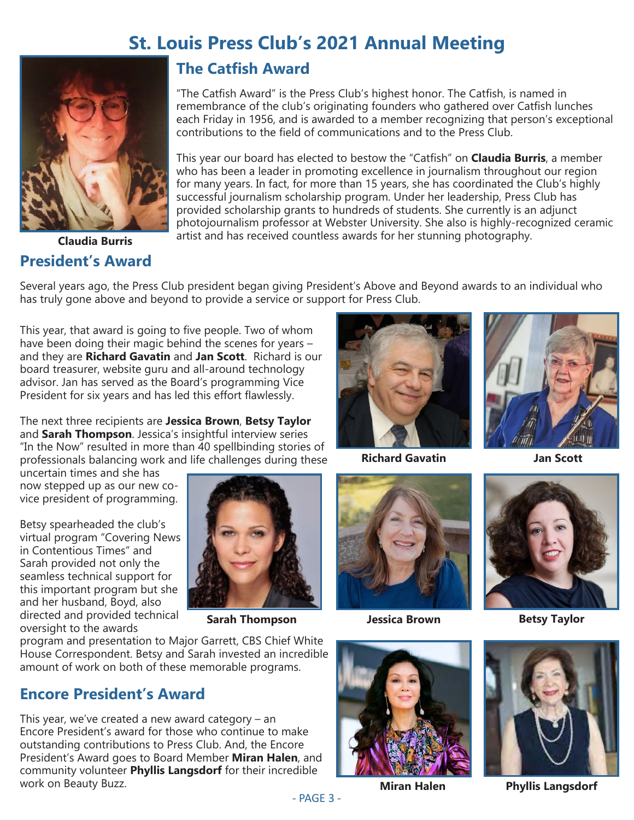# **St. Louis Press Club's 2021 Annual Meeting**



# **President's Award**

#### **The Catfish Award**

"The Catfish Award" is the Press Club's highest honor. The Catfish, is named in remembrance of the club's originating founders who gathered over Catfish lunches each Friday in 1956, and is awarded to a member recognizing that person's exceptional contributions to the field of communications and to the Press Club.

This year our board has elected to bestow the "Catfish" on **Claudia Burris**, a member who has been a leader in promoting excellence in journalism throughout our region for many years. In fact, for more than 15 years, she has coordinated the Club's highly successful journalism scholarship program. Under her leadership, Press Club has provided scholarship grants to hundreds of students. She currently is an adjunct photojournalism professor at Webster University. She also is highly-recognized ceramic artist and has received countless awards for her stunning photography. **Claudia Burris**

Several years ago, the Press Club president began giving President's Above and Beyond awards to an individual who has truly gone above and beyond to provide a service or support for Press Club.

This year, that award is going to five people. Two of whom have been doing their magic behind the scenes for years – and they are **Richard Gavatin** and **Jan Scott**. Richard is our board treasurer, website guru and all-around technology advisor. Jan has served as the Board's programming Vice President for six years and has led this effort flawlessly.

The next three recipients are **Jessica Brown**, **Betsy Taylor** and **Sarah Thompson**. Jessica's insightful interview series "In the Now" resulted in more than 40 spellbinding stories of professionals balancing work and life challenges during these

uncertain times and she has now stepped up as our new covice president of programming.

Betsy spearheaded the club's virtual program "Covering News in Contentious Times" and Sarah provided not only the seamless technical support for this important program but she and her husband, Boyd, also directed and provided technical oversight to the awards



**Sarah Thompson Jessica Brown**





**Richard Gavatin**





**Betsy Taylor**

program and presentation to Major Garrett, CBS Chief White House Correspondent. Betsy and Sarah invested an incredible amount of work on both of these memorable programs.

### **Encore President's Award**

This year, we've created a new award category – an Encore President's award for those who continue to make outstanding contributions to Press Club. And, the Encore President's Award goes to Board Member **Miran Halen**, and community volunteer **Phyllis Langsdorf** for their incredible work on Beauty Buzz. **Miran Halen Phyllis Langsdorf**



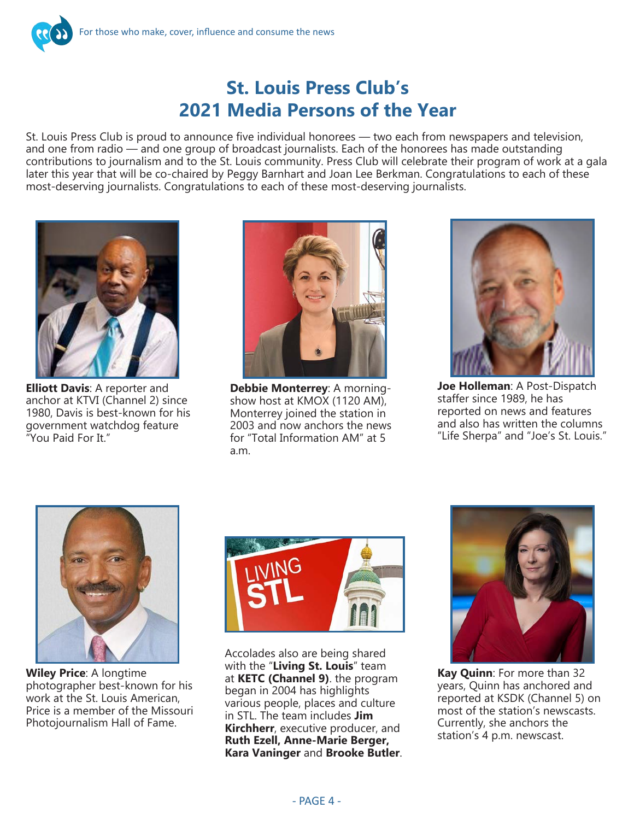### **St. Louis Press Club's 2021 Media Persons of the Year**

St. Louis Press Club is proud to announce five individual honorees — two each from newspapers and television, and one from radio — and one group of broadcast journalists. Each of the honorees has made outstanding contributions to journalism and to the St. Louis community. Press Club will celebrate their program of work at a gala later this year that will be co-chaired by Peggy Barnhart and Joan Lee Berkman. Congratulations to each of these most-deserving journalists. Congratulations to each of these most-deserving journalists.



**Elliott Davis**: A reporter and anchor at KTVI (Channel 2) since 1980, Davis is best-known for his government watchdog feature "You Paid For It."



**Debbie Monterrey**: A morningshow host at KMOX (1120 AM), Monterrey joined the station in 2003 and now anchors the news for "Total Information AM" at 5 a.m.



**Joe Holleman**: A Post-Dispatch staffer since 1989, he has reported on news and features and also has written the columns "Life Sherpa" and "Joe's St. Louis."



**Wiley Price**: A longtime photographer best-known for his work at the St. Louis American, Price is a member of the Missouri Photojournalism Hall of Fame.



Accolades also are being shared with the "**Living St. Louis**" team at **KETC (Channel 9)**. the program began in 2004 has highlights various people, places and culture in STL. The team includes **Jim Kirchherr**, executive producer, and **Ruth Ezell, Anne-Marie Berger, Kara Vaninger** and **Brooke Butler**.



**Kay Quinn**: For more than 32 years, Quinn has anchored and reported at KSDK (Channel 5) on most of the station's newscasts. Currently, she anchors the station's 4 p.m. newscast.